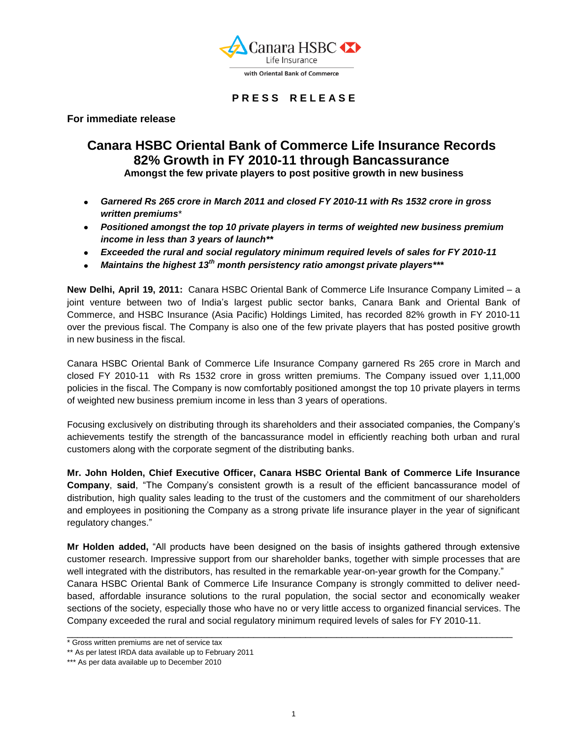

## **P R E S S R E L E A S E**

**For immediate release**

## **Canara HSBC Oriental Bank of Commerce Life Insurance Records 82% Growth in FY 2010-11 through Bancassurance Amongst the few private players to post positive growth in new business**

- 
- *Garnered Rs 265 crore in March 2011 and closed FY 2010-11 with Rs 1532 crore in gross written premiums*\*
- *Positioned amongst the top 10 private players in terms of weighted new business premium income in less than 3 years of launch\*\**
- *Exceeded the rural and social regulatory minimum required levels of sales for FY 2010-11*
- *Maintains the highest 13th month persistency ratio amongst private players\*\*\**

**New Delhi, April 19, 2011:** Canara HSBC Oriental Bank of Commerce Life Insurance Company Limited – a joint venture between two of India's largest public sector banks, Canara Bank and Oriental Bank of Commerce, and HSBC Insurance (Asia Pacific) Holdings Limited, has recorded 82% growth in FY 2010-11 over the previous fiscal. The Company is also one of the few private players that has posted positive growth in new business in the fiscal.

Canara HSBC Oriental Bank of Commerce Life Insurance Company garnered Rs 265 crore in March and closed FY 2010-11 with Rs 1532 crore in gross written premiums. The Company issued over 1,11,000 policies in the fiscal. The Company is now comfortably positioned amongst the top 10 private players in terms of weighted new business premium income in less than 3 years of operations.

Focusing exclusively on distributing through its shareholders and their associated companies, the Company's achievements testify the strength of the bancassurance model in efficiently reaching both urban and rural customers along with the corporate segment of the distributing banks.

**Mr. John Holden, Chief Executive Officer, Canara HSBC Oriental Bank of Commerce Life Insurance Company**, **said**, "The Company's consistent growth is a result of the efficient bancassurance model of distribution, high quality sales leading to the trust of the customers and the commitment of our shareholders and employees in positioning the Company as a strong private life insurance player in the year of significant regulatory changes."

**Mr Holden added,** "All products have been designed on the basis of insights gathered through extensive customer research. Impressive support from our shareholder banks, together with simple processes that are well integrated with the distributors, has resulted in the remarkable year-on-year growth for the Company." Canara HSBC Oriental Bank of Commerce Life Insurance Company is strongly committed to deliver needbased, affordable insurance solutions to the rural population, the social sector and economically weaker sections of the society, especially those who have no or very little access to organized financial services. The Company exceeded the rural and social regulatory minimum required levels of sales for FY 2010-11.

\_\_\_\_\_\_\_\_\_\_\_\_\_\_\_\_\_\_\_\_\_\_\_\_\_\_\_\_\_\_\_\_\_\_\_\_\_\_\_\_\_\_\_\_\_\_\_\_\_\_\_\_\_\_\_\_\_\_\_\_\_\_\_\_\_\_\_\_\_\_\_\_\_\_\_\_\_\_\_\_\_\_\_\_\_\_

<sup>\*</sup> Gross written premiums are net of service tax

<sup>\*\*</sup> As per latest IRDA data available up to February 2011

<sup>\*\*\*</sup> As per data available up to December 2010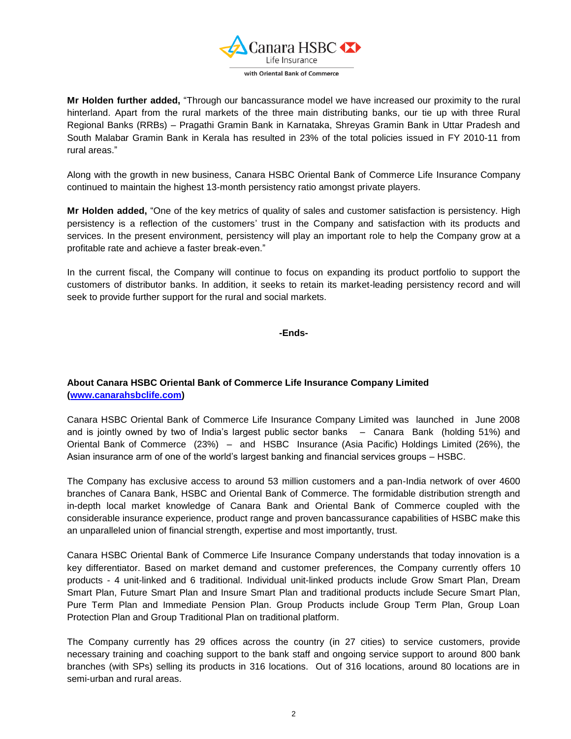

**Mr Holden further added,** "Through our bancassurance model we have increased our proximity to the rural hinterland. Apart from the rural markets of the three main distributing banks, our tie up with three Rural Regional Banks (RRBs) – Pragathi Gramin Bank in Karnataka, Shreyas Gramin Bank in Uttar Pradesh and South Malabar Gramin Bank in Kerala has resulted in 23% of the total policies issued in FY 2010-11 from rural areas."

Along with the growth in new business, Canara HSBC Oriental Bank of Commerce Life Insurance Company continued to maintain the highest 13-month persistency ratio amongst private players.

**Mr Holden added,** "One of the key metrics of quality of sales and customer satisfaction is persistency. High persistency is a reflection of the customers' trust in the Company and satisfaction with its products and services. In the present environment, persistency will play an important role to help the Company grow at a profitable rate and achieve a faster break-even."

In the current fiscal, the Company will continue to focus on expanding its product portfolio to support the customers of distributor banks. In addition, it seeks to retain its market-leading persistency record and will seek to provide further support for the rural and social markets.

**-Ends-**

## **About Canara HSBC Oriental Bank of Commerce Life Insurance Company Limited [\(www.canarahsbclife.com\)](http://www.canarahsbclife.com/)**

Canara HSBC Oriental Bank of Commerce Life Insurance Company Limited was launched in June 2008 and is jointly owned by two of India's largest public sector banks – Canara Bank (holding 51%) and Oriental Bank of Commerce (23%) – and HSBC Insurance (Asia Pacific) Holdings Limited (26%), the Asian insurance arm of one of the world's largest banking and financial services groups – HSBC.

The Company has exclusive access to around 53 million customers and a pan-India network of over 4600 branches of Canara Bank, HSBC and Oriental Bank of Commerce. The formidable distribution strength and in-depth local market knowledge of Canara Bank and Oriental Bank of Commerce coupled with the considerable insurance experience, product range and proven bancassurance capabilities of HSBC make this an unparalleled union of financial strength, expertise and most importantly, trust.

Canara HSBC Oriental Bank of Commerce Life Insurance Company understands that today innovation is a key differentiator. Based on market demand and customer preferences, the Company currently offers 10 products - 4 unit-linked and 6 traditional. Individual unit-linked products include Grow Smart Plan, Dream Smart Plan, Future Smart Plan and Insure Smart Plan and traditional products include Secure Smart Plan, Pure Term Plan and Immediate Pension Plan. Group Products include Group Term Plan, Group Loan Protection Plan and Group Traditional Plan on traditional platform.

The Company currently has 29 offices across the country (in 27 cities) to service customers, provide necessary training and coaching support to the bank staff and ongoing service support to around 800 bank branches (with SPs) selling its products in 316 locations. Out of 316 locations, around 80 locations are in semi-urban and rural areas.